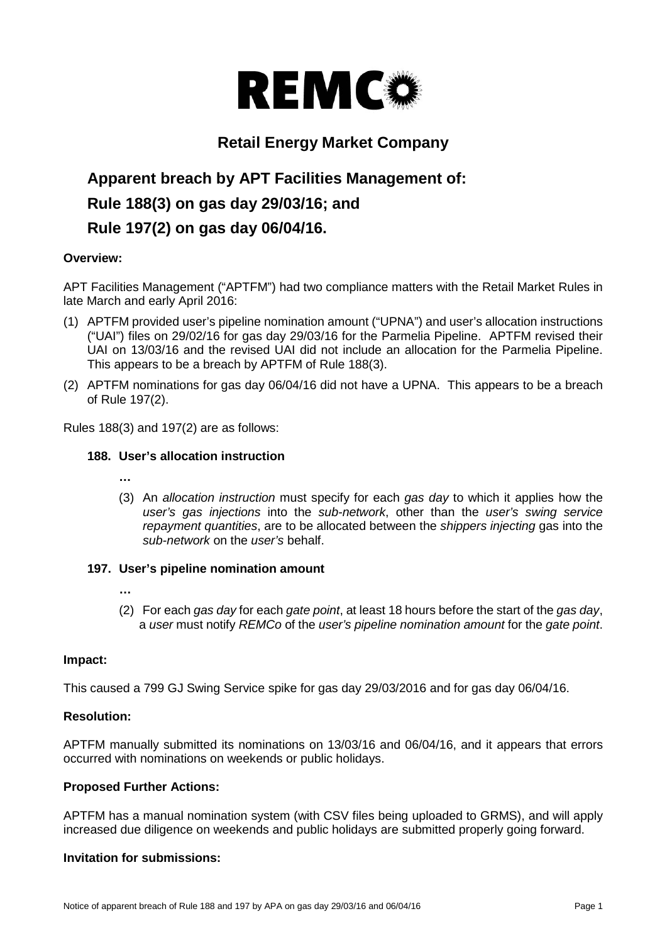

# **Retail Energy Market Company**

# **Apparent breach by APT Facilities Management of: Rule 188(3) on gas day 29/03/16; and Rule 197(2) on gas day 06/04/16.**

# **Overview:**

APT Facilities Management ("APTFM") had two compliance matters with the Retail Market Rules in late March and early April 2016:

- (1) APTFM provided user's pipeline nomination amount ("UPNA") and user's allocation instructions ("UAI") files on 29/02/16 for gas day 29/03/16 for the Parmelia Pipeline. APTFM revised their UAI on 13/03/16 and the revised UAI did not include an allocation for the Parmelia Pipeline. This appears to be a breach by APTFM of Rule 188(3).
- (2) APTFM nominations for gas day 06/04/16 did not have a UPNA. This appears to be a breach of Rule 197(2).

Rules 188(3) and 197(2) are as follows:

### **188. User's allocation instruction**

- **…**
- (3) An *allocation instruction* must specify for each *gas day* to which it applies how the *user's gas injections* into the *sub-network*, other than the *user's swing service repayment quantities*, are to be allocated between the *shippers injecting* gas into the *sub-network* on the *user's* behalf.

#### **197. User's pipeline nomination amount**

- **…**
- (2) For each *gas day* for each *gate point*, at least 18 hours before the start of the *gas day*, a *user* must notify *REMCo* of the *user's pipeline nomination amount* for the *gate point*.

#### **Impact:**

This caused a 799 GJ Swing Service spike for gas day 29/03/2016 and for gas day 06/04/16.

# **Resolution:**

APTFM manually submitted its nominations on 13/03/16 and 06/04/16, and it appears that errors occurred with nominations on weekends or public holidays.

#### **Proposed Further Actions:**

APTFM has a manual nomination system (with CSV files being uploaded to GRMS), and will apply increased due diligence on weekends and public holidays are submitted properly going forward.

# **Invitation for submissions:**